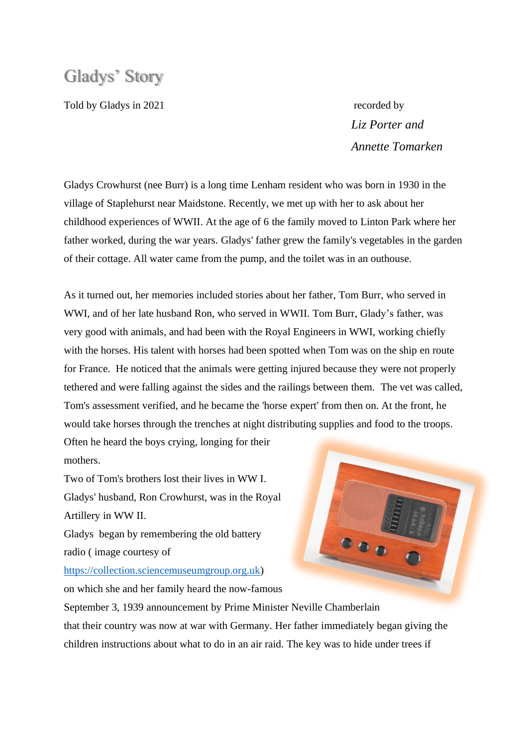# Gladys' Story

Told by Gladys in 2021 recorded by

 *Liz Porter and Annette Tomarken* 

Gladys Crowhurst (nee Burr) is a long time Lenham resident who was born in 1930 in the village of Staplehurst near Maidstone. Recently, we met up with her to ask about her childhood experiences of WWII. At the age of 6 the family moved to Linton Park where her father worked, during the war years. Gladys' father grew the family's vegetables in the garden of their cottage. All water came from the pump, and the toilet was in an outhouse.

As it turned out, her memories included stories about her father, Tom Burr, who served in WWI, and of her late husband Ron, who served in WWII. Tom Burr, Glady's father, was very good with animals, and had been with the Royal Engineers in WWI, working chiefly with the horses. His talent with horses had been spotted when Tom was on the ship en route for France. He noticed that the animals were getting injured because they were not properly tethered and were falling against the sides and the railings between them. The vet was called, Tom's assessment verified, and he became the 'horse expert' from then on. At the front, he would take horses through the trenches at night distributing supplies and food to the troops.

Often he heard the boys crying, longing for their mothers.

Two of Tom's brothers lost their lives in WW I. Gladys' husband, Ron Crowhurst, was in the Royal Artillery in WW II.

Gladys began by remembering the old battery radio ( image courtesy of

[https://collection.sciencemuseumgroup.org.uk\)](https://collection.sciencemuseumgroup.org.uk/)

on which she and her family heard the now-famous

 $\bullet \bullet \bullet$ 

September 3, 1939 announcement by Prime Minister Neville Chamberlain that their country was now at war with Germany. Her father immediately began giving the children instructions about what to do in an air raid. The key was to hide under trees if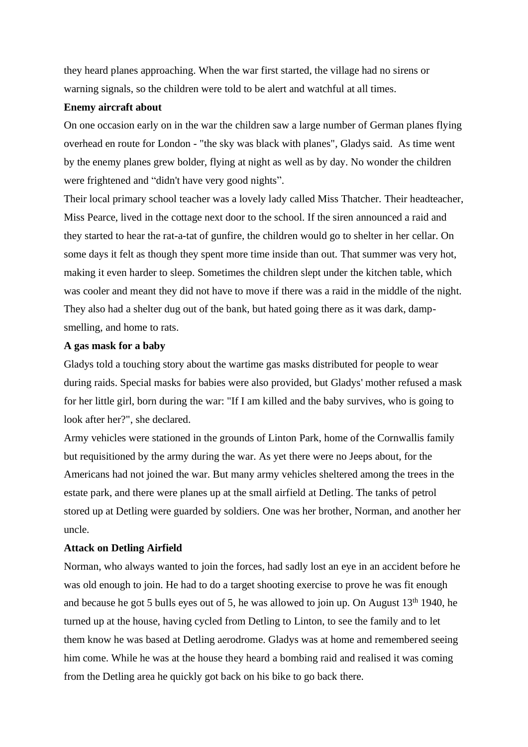they heard planes approaching. When the war first started, the village had no sirens or warning signals, so the children were told to be alert and watchful at all times.

### **Enemy aircraft about**

On one occasion early on in the war the children saw a large number of German planes flying overhead en route for London - "the sky was black with planes", Gladys said. As time went by the enemy planes grew bolder, flying at night as well as by day. No wonder the children were frightened and "didn't have very good nights".

Their local primary school teacher was a lovely lady called Miss Thatcher. Their headteacher, Miss Pearce, lived in the cottage next door to the school. If the siren announced a raid and they started to hear the rat-a-tat of gunfire, the children would go to shelter in her cellar. On some days it felt as though they spent more time inside than out. That summer was very hot, making it even harder to sleep. Sometimes the children slept under the kitchen table, which was cooler and meant they did not have to move if there was a raid in the middle of the night. They also had a shelter dug out of the bank, but hated going there as it was dark, dampsmelling, and home to rats.

# **A gas mask for a baby**

Gladys told a touching story about the wartime gas masks distributed for people to wear during raids. Special masks for babies were also provided, but Gladys' mother refused a mask for her little girl, born during the war: "If I am killed and the baby survives, who is going to look after her?", she declared.

Army vehicles were stationed in the grounds of Linton Park, home of the Cornwallis family but requisitioned by the army during the war. As yet there were no Jeeps about, for the Americans had not joined the war. But many army vehicles sheltered among the trees in the estate park, and there were planes up at the small airfield at Detling. The tanks of petrol stored up at Detling were guarded by soldiers. One was her brother, Norman, and another her uncle.

# **Attack on Detling Airfield**

Norman, who always wanted to join the forces, had sadly lost an eye in an accident before he was old enough to join. He had to do a target shooting exercise to prove he was fit enough and because he got 5 bulls eyes out of 5, he was allowed to join up. On August  $13<sup>th</sup> 1940$ , he turned up at the house, having cycled from Detling to Linton, to see the family and to let them know he was based at Detling aerodrome. Gladys was at home and remembered seeing him come. While he was at the house they heard a bombing raid and realised it was coming from the Detling area he quickly got back on his bike to go back there.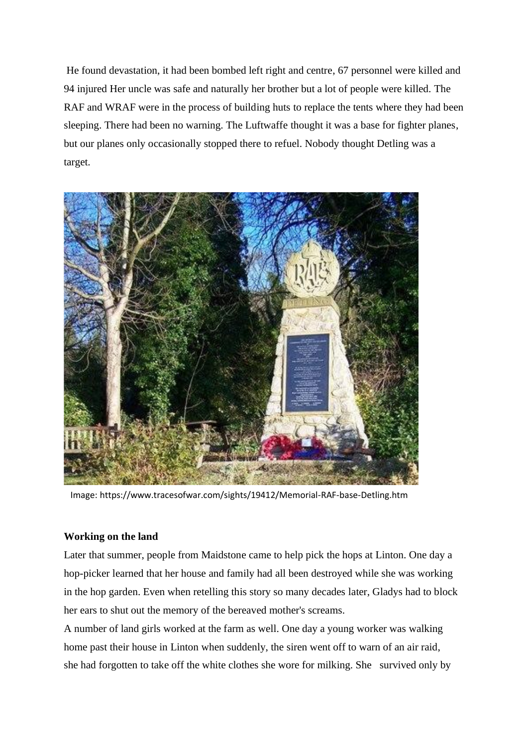He found devastation, it had been bombed left right and centre, 67 personnel were killed and 94 injured Her uncle was safe and naturally her brother but a lot of people were killed. The RAF and WRAF were in the process of building huts to replace the tents where they had been sleeping. There had been no warning. The Luftwaffe thought it was a base for fighter planes, but our planes only occasionally stopped there to refuel. Nobody thought Detling was a target.



Image: https://www.tracesofwar.com/sights/19412/Memorial-RAF-base-Detling.htm

### **Working on the land**

Later that summer, people from Maidstone came to help pick the hops at Linton. One day a hop-picker learned that her house and family had all been destroyed while she was working in the hop garden. Even when retelling this story so many decades later, Gladys had to block her ears to shut out the memory of the bereaved mother's screams.

A number of land girls worked at the farm as well. One day a young worker was walking home past their house in Linton when suddenly, the siren went off to warn of an air raid, she had forgotten to take off the white clothes she wore for milking. She survived only by